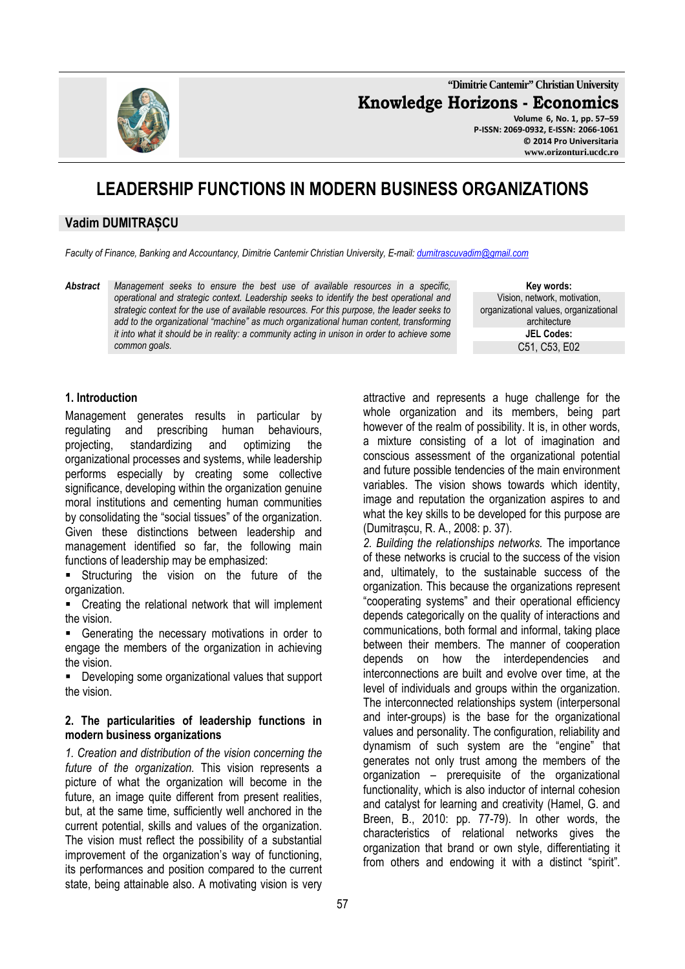**"Dimitrie Cantemir" Christian University Knowledge Horizons - Economics**

**Volume 6, No. 1, pp. 57–59 P-ISSN: 2069-0932, E-ISSN: 2066-1061 © 2014 Pro Universitaria www.orizonturi.ucdc.ro**

# **LEADERSHIP FUNCTIONS IN MODERN BUSINESS ORGANIZATIONS**

### **Vadim DUMITRAȘCU**

*Faculty of Finance, Banking and Accountancy, Dimitrie Cantemir Christian University, E-mail: dumitrascuvadim@gmail.com*

*Abstract Management seeks to ensure the best use of available resources in a specific, operational and strategic context. Leadership seeks to identify the best operational and strategic context for the use of available resources. For this purpose, the leader seeks to add to the organizational "machine" as much organizational human content, transforming it into what it should be in reality: a community acting in unison in order to achieve some common goals.* 

**Key words:** Vision, network, motivation, organizational values, organizational architecture **JEL Codes:** C51, C53, E02

#### **1. Introduction**

Management generates results in particular by regulating and prescribing human behaviours, projecting, standardizing and optimizing the organizational processes and systems, while leadership performs especially by creating some collective significance, developing within the organization genuine moral institutions and cementing human communities by consolidating the "social tissues" of the organization. Given these distinctions between leadership and management identified so far, the following main functions of leadership may be emphasized:

 Structuring the vision on the future of the organization.

 Creating the relational network that will implement the vision.

 Generating the necessary motivations in order to engage the members of the organization in achieving the vision.

 Developing some organizational values that support the vision.

#### **2. The particularities of leadership functions in modern business organizations**

*1. Creation and distribution of the vision concerning the future of the organization.* This vision represents a picture of what the organization will become in the future, an image quite different from present realities, but, at the same time, sufficiently well anchored in the current potential, skills and values of the organization. The vision must reflect the possibility of a substantial improvement of the organization's way of functioning, its performances and position compared to the current state, being attainable also. A motivating vision is very attractive and represents a huge challenge for the whole organization and its members, being part however of the realm of possibility. It is, in other words, a mixture consisting of a lot of imagination and conscious assessment of the organizational potential and future possible tendencies of the main environment variables. The vision shows towards which identity, image and reputation the organization aspires to and what the key skills to be developed for this purpose are (Dumitrașcu, R. A., 2008: p. 37).

*2. Building the relationships networks.* The importance of these networks is crucial to the success of the vision and, ultimately, to the sustainable success of the organization. This because the organizations represent "cooperating systems" and their operational efficiency depends categorically on the quality of interactions and communications, both formal and informal, taking place between their members. The manner of cooperation depends on how the interdependencies and interconnections are built and evolve over time, at the level of individuals and groups within the organization. The interconnected relationships system (interpersonal and inter-groups) is the base for the organizational values and personality. The configuration, reliability and dynamism of such system are the "engine" that generates not only trust among the members of the organization – prerequisite of the organizational functionality, which is also inductor of internal cohesion and catalyst for learning and creativity (Hamel, G. and Breen, B., 2010: pp. 77-79). In other words, the characteristics of relational networks gives the organization that brand or own style, differentiating it from others and endowing it with a distinct "spirit".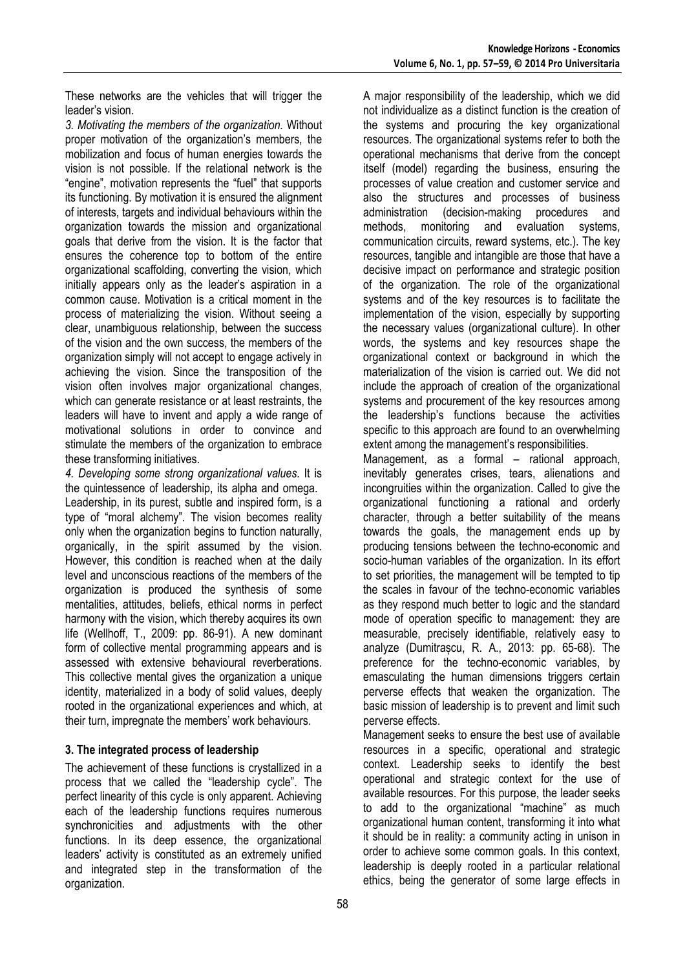These networks are the vehicles that will trigger the leader's vision.

*3. Motivating the members of the organization.* Without proper motivation of the organization's members, the mobilization and focus of human energies towards the vision is not possible. If the relational network is the "engine", motivation represents the "fuel" that supports its functioning. By motivation it is ensured the alignment of interests, targets and individual behaviours within the organization towards the mission and organizational goals that derive from the vision. It is the factor that ensures the coherence top to bottom of the entire organizational scaffolding, converting the vision, which initially appears only as the leader's aspiration in a common cause. Motivation is a critical moment in the process of materializing the vision. Without seeing a clear, unambiguous relationship, between the success of the vision and the own success, the members of the organization simply will not accept to engage actively in achieving the vision. Since the transposition of the vision often involves major organizational changes, which can generate resistance or at least restraints, the leaders will have to invent and apply a wide range of motivational solutions in order to convince and stimulate the members of the organization to embrace these transforming initiatives.

*4. Developing some strong organizational values.* It is the quintessence of leadership, its alpha and omega. Leadership, in its purest, subtle and inspired form, is a type of "moral alchemy". The vision becomes reality only when the organization begins to function naturally, organically, in the spirit assumed by the vision. However, this condition is reached when at the daily level and unconscious reactions of the members of the organization is produced the synthesis of some mentalities, attitudes, beliefs, ethical norms in perfect harmony with the vision, which thereby acquires its own life (Wellhoff, T., 2009: pp. 86-91). A new dominant form of collective mental programming appears and is assessed with extensive behavioural reverberations. This collective mental gives the organization a unique identity, materialized in a body of solid values, deeply rooted in the organizational experiences and which, at their turn, impregnate the members' work behaviours.

## **3. The integrated process of leadership**

The achievement of these functions is crystallized in a process that we called the "leadership cycle". The perfect linearity of this cycle is only apparent. Achieving each of the leadership functions requires numerous synchronicities and adjustments with the other functions. In its deep essence, the organizational leaders' activity is constituted as an extremely unified and integrated step in the transformation of the organization.

A major responsibility of the leadership, which we did not individualize as a distinct function is the creation of the systems and procuring the key organizational resources. The organizational systems refer to both the operational mechanisms that derive from the concept itself (model) regarding the business, ensuring the processes of value creation and customer service and also the structures and processes of business administration (decision-making procedures and methods, monitoring and evaluation systems, communication circuits, reward systems, etc.). The key resources, tangible and intangible are those that have a decisive impact on performance and strategic position of the organization. The role of the organizational systems and of the key resources is to facilitate the implementation of the vision, especially by supporting the necessary values (organizational culture). In other words, the systems and key resources shape the organizational context or background in which the materialization of the vision is carried out. We did not include the approach of creation of the organizational systems and procurement of the key resources among the leadership's functions because the activities specific to this approach are found to an overwhelming extent among the management's responsibilities.

Management, as a formal – rational approach, inevitably generates crises, tears, alienations and incongruities within the organization. Called to give the organizational functioning a rational and orderly character, through a better suitability of the means towards the goals, the management ends up by producing tensions between the techno-economic and socio-human variables of the organization. In its effort to set priorities, the management will be tempted to tip the scales in favour of the techno-economic variables as they respond much better to logic and the standard mode of operation specific to management: they are measurable, precisely identifiable, relatively easy to analyze (Dumitrașcu, R. A., 2013: pp. 65-68). The preference for the techno-economic variables, by emasculating the human dimensions triggers certain perverse effects that weaken the organization. The basic mission of leadership is to prevent and limit such perverse effects.

Management seeks to ensure the best use of available resources in a specific, operational and strategic context. Leadership seeks to identify the best operational and strategic context for the use of available resources. For this purpose, the leader seeks to add to the organizational "machine" as much organizational human content, transforming it into what it should be in reality: a community acting in unison in order to achieve some common goals. In this context, leadership is deeply rooted in a particular relational ethics, being the generator of some large effects in